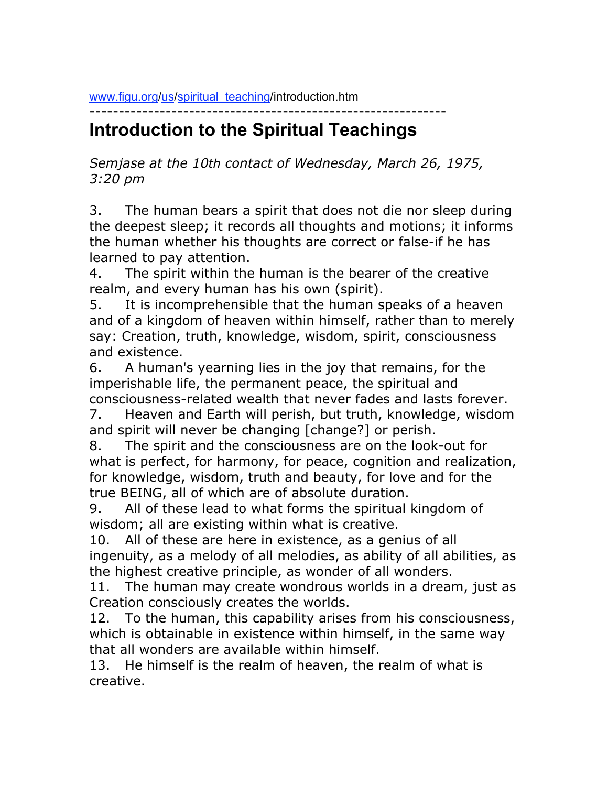www.figu.org/us/spiritual\_teaching/introduction.htm

## ------------------------------------------------------------- **Introduction to the Spiritual Teachings**

*Semjase at the 10th contact of Wednesday, March 26, 1975, 3:20 pm*

3. The human bears a spirit that does not die nor sleep during the deepest sleep; it records all thoughts and motions; it informs the human whether his thoughts are correct or false-if he has learned to pay attention.

4. The spirit within the human is the bearer of the creative realm, and every human has his own (spirit).

5. It is incomprehensible that the human speaks of a heaven and of a kingdom of heaven within himself, rather than to merely say: Creation, truth, knowledge, wisdom, spirit, consciousness and existence.

6. A human's yearning lies in the joy that remains, for the imperishable life, the permanent peace, the spiritual and consciousness-related wealth that never fades and lasts forever.

7. Heaven and Earth will perish, but truth, knowledge, wisdom and spirit will never be changing [change?] or perish.

8. The spirit and the consciousness are on the look-out for what is perfect, for harmony, for peace, cognition and realization, for knowledge, wisdom, truth and beauty, for love and for the true BEING, all of which are of absolute duration.

9. All of these lead to what forms the spiritual kingdom of wisdom; all are existing within what is creative.

10. All of these are here in existence, as a genius of all ingenuity, as a melody of all melodies, as ability of all abilities, as the highest creative principle, as wonder of all wonders.

11. The human may create wondrous worlds in a dream, just as Creation consciously creates the worlds.

12. To the human, this capability arises from his consciousness, which is obtainable in existence within himself, in the same way that all wonders are available within himself.

13. He himself is the realm of heaven, the realm of what is creative.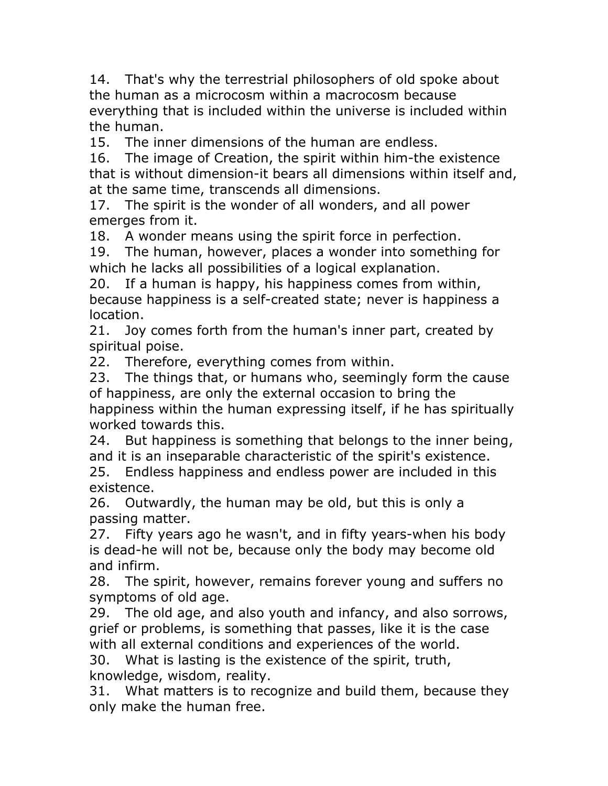14. That's why the terrestrial philosophers of old spoke about the human as a microcosm within a macrocosm because everything that is included within the universe is included within the human.

15. The inner dimensions of the human are endless.

16. The image of Creation, the spirit within him-the existence that is without dimension-it bears all dimensions within itself and, at the same time, transcends all dimensions.

17. The spirit is the wonder of all wonders, and all power emerges from it.

18. A wonder means using the spirit force in perfection.

19. The human, however, places a wonder into something for which he lacks all possibilities of a logical explanation.

20. If a human is happy, his happiness comes from within, because happiness is a self-created state; never is happiness a location.

21. Joy comes forth from the human's inner part, created by spiritual poise.

22. Therefore, everything comes from within.

23. The things that, or humans who, seemingly form the cause of happiness, are only the external occasion to bring the happiness within the human expressing itself, if he has spiritually worked towards this.

24. But happiness is something that belongs to the inner being, and it is an inseparable characteristic of the spirit's existence. 25. Endless happiness and endless power are included in this

existence.

26. Outwardly, the human may be old, but this is only a passing matter.

27. Fifty years ago he wasn't, and in fifty years-when his body is dead-he will not be, because only the body may become old and infirm.

28. The spirit, however, remains forever young and suffers no symptoms of old age.

29. The old age, and also youth and infancy, and also sorrows, grief or problems, is something that passes, like it is the case with all external conditions and experiences of the world.

30. What is lasting is the existence of the spirit, truth, knowledge, wisdom, reality.

31. What matters is to recognize and build them, because they only make the human free.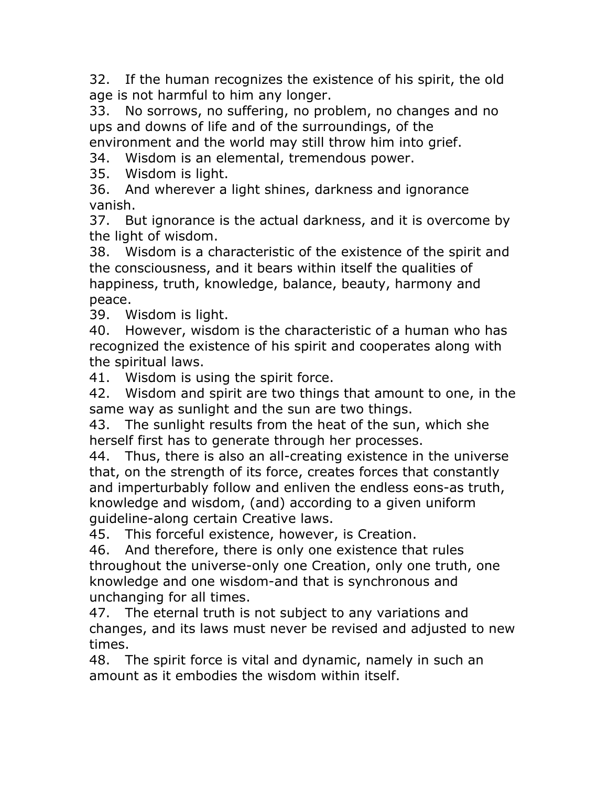32. If the human recognizes the existence of his spirit, the old age is not harmful to him any longer.

33. No sorrows, no suffering, no problem, no changes and no ups and downs of life and of the surroundings, of the

environment and the world may still throw him into grief.

34. Wisdom is an elemental, tremendous power.

35. Wisdom is light.

36. And wherever a light shines, darkness and ignorance vanish.

37. But ignorance is the actual darkness, and it is overcome by the light of wisdom.

38. Wisdom is a characteristic of the existence of the spirit and the consciousness, and it bears within itself the qualities of happiness, truth, knowledge, balance, beauty, harmony and peace.

39. Wisdom is light.

40. However, wisdom is the characteristic of a human who has recognized the existence of his spirit and cooperates along with the spiritual laws.

41. Wisdom is using the spirit force.

42. Wisdom and spirit are two things that amount to one, in the same way as sunlight and the sun are two things.

43. The sunlight results from the heat of the sun, which she herself first has to generate through her processes.

44. Thus, there is also an all-creating existence in the universe that, on the strength of its force, creates forces that constantly and imperturbably follow and enliven the endless eons-as truth, knowledge and wisdom, (and) according to a given uniform guideline-along certain Creative laws.

45. This forceful existence, however, is Creation.

46. And therefore, there is only one existence that rules throughout the universe-only one Creation, only one truth, one knowledge and one wisdom-and that is synchronous and unchanging for all times.

47. The eternal truth is not subject to any variations and changes, and its laws must never be revised and adjusted to new times.

48. The spirit force is vital and dynamic, namely in such an amount as it embodies the wisdom within itself.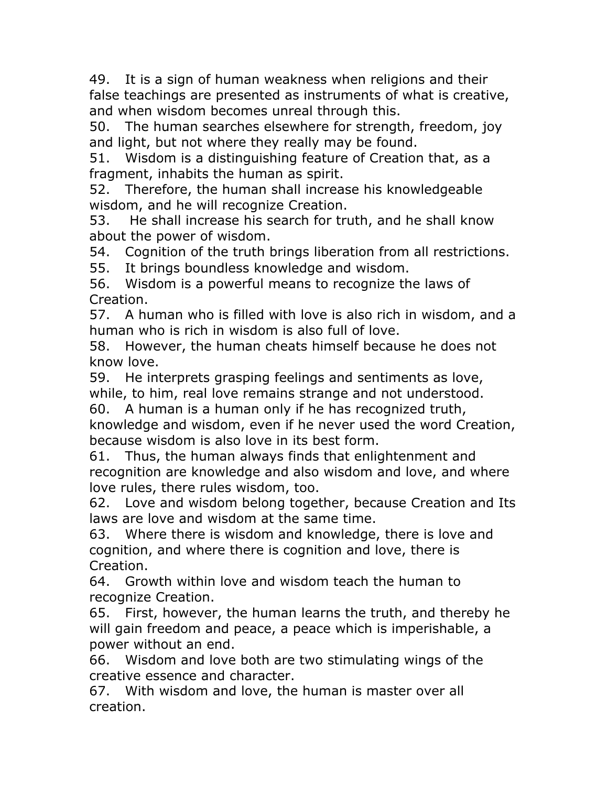49. It is a sign of human weakness when religions and their false teachings are presented as instruments of what is creative, and when wisdom becomes unreal through this.

50. The human searches elsewhere for strength, freedom, joy and light, but not where they really may be found.

51. Wisdom is a distinguishing feature of Creation that, as a fragment, inhabits the human as spirit.

52. Therefore, the human shall increase his knowledgeable wisdom, and he will recognize Creation.

53. He shall increase his search for truth, and he shall know about the power of wisdom.

54. Cognition of the truth brings liberation from all restrictions.

55. It brings boundless knowledge and wisdom.

56. Wisdom is a powerful means to recognize the laws of Creation.

57. A human who is filled with love is also rich in wisdom, and a human who is rich in wisdom is also full of love.

58. However, the human cheats himself because he does not know love.

59. He interprets grasping feelings and sentiments as love, while, to him, real love remains strange and not understood.

60. A human is a human only if he has recognized truth, knowledge and wisdom, even if he never used the word Creation, because wisdom is also love in its best form.

61. Thus, the human always finds that enlightenment and recognition are knowledge and also wisdom and love, and where love rules, there rules wisdom, too.

62. Love and wisdom belong together, because Creation and Its laws are love and wisdom at the same time.

63. Where there is wisdom and knowledge, there is love and cognition, and where there is cognition and love, there is Creation.

64. Growth within love and wisdom teach the human to recognize Creation.

65. First, however, the human learns the truth, and thereby he will gain freedom and peace, a peace which is imperishable, a power without an end.

66. Wisdom and love both are two stimulating wings of the creative essence and character.

67. With wisdom and love, the human is master over all creation.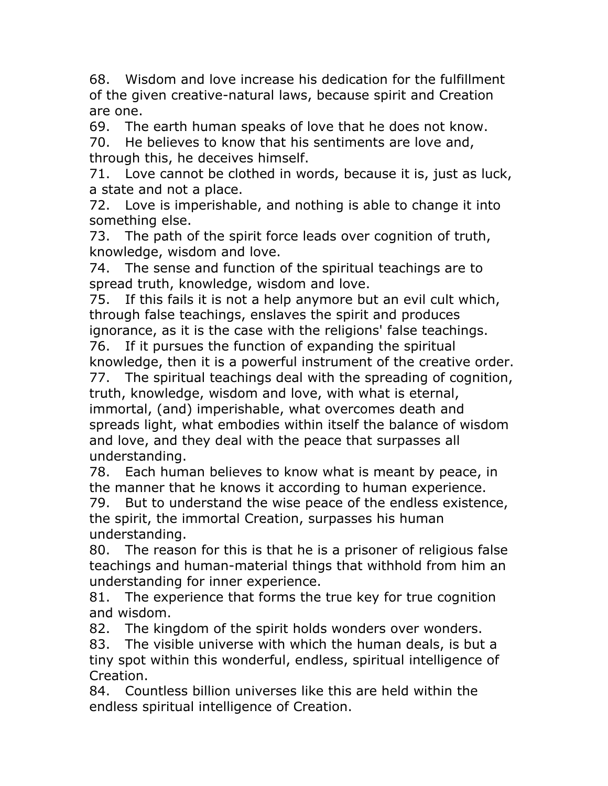68. Wisdom and love increase his dedication for the fulfillment of the given creative-natural laws, because spirit and Creation are one.

69. The earth human speaks of love that he does not know.

70. He believes to know that his sentiments are love and, through this, he deceives himself.

71. Love cannot be clothed in words, because it is, just as luck, a state and not a place.

72. Love is imperishable, and nothing is able to change it into something else.

73. The path of the spirit force leads over cognition of truth, knowledge, wisdom and love.

74. The sense and function of the spiritual teachings are to spread truth, knowledge, wisdom and love.

75. If this fails it is not a help anymore but an evil cult which, through false teachings, enslaves the spirit and produces

ignorance, as it is the case with the religions' false teachings. 76. If it pursues the function of expanding the spiritual

knowledge, then it is a powerful instrument of the creative order.

77. The spiritual teachings deal with the spreading of cognition, truth, knowledge, wisdom and love, with what is eternal, immortal, (and) imperishable, what overcomes death and spreads light, what embodies within itself the balance of wisdom and love, and they deal with the peace that surpasses all understanding.

78. Each human believes to know what is meant by peace, in the manner that he knows it according to human experience.

79. But to understand the wise peace of the endless existence, the spirit, the immortal Creation, surpasses his human understanding.

80. The reason for this is that he is a prisoner of religious false teachings and human-material things that withhold from him an understanding for inner experience.

81. The experience that forms the true key for true cognition and wisdom.

82. The kingdom of the spirit holds wonders over wonders.

83. The visible universe with which the human deals, is but a tiny spot within this wonderful, endless, spiritual intelligence of Creation.

84. Countless billion universes like this are held within the endless spiritual intelligence of Creation.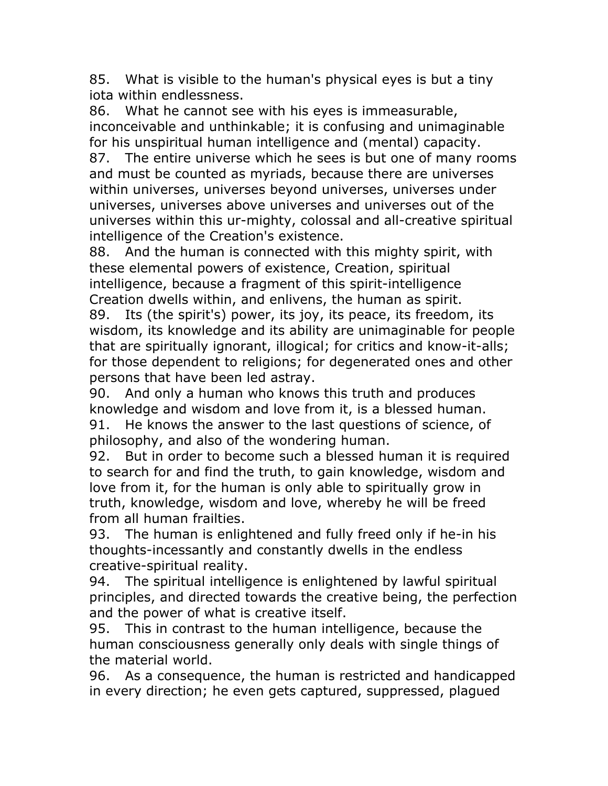85. What is visible to the human's physical eyes is but a tiny iota within endlessness.

86. What he cannot see with his eyes is immeasurable, inconceivable and unthinkable; it is confusing and unimaginable for his unspiritual human intelligence and (mental) capacity. 87. The entire universe which he sees is but one of many rooms and must be counted as myriads, because there are universes within universes, universes beyond universes, universes under universes, universes above universes and universes out of the universes within this ur-mighty, colossal and all-creative spiritual intelligence of the Creation's existence.

88. And the human is connected with this mighty spirit, with these elemental powers of existence, Creation, spiritual intelligence, because a fragment of this spirit-intelligence Creation dwells within, and enlivens, the human as spirit.

89. Its (the spirit's) power, its joy, its peace, its freedom, its wisdom, its knowledge and its ability are unimaginable for people that are spiritually ignorant, illogical; for critics and know-it-alls; for those dependent to religions; for degenerated ones and other persons that have been led astray.

90. And only a human who knows this truth and produces knowledge and wisdom and love from it, is a blessed human. 91. He knows the answer to the last questions of science, of philosophy, and also of the wondering human.

92. But in order to become such a blessed human it is required to search for and find the truth, to gain knowledge, wisdom and love from it, for the human is only able to spiritually grow in truth, knowledge, wisdom and love, whereby he will be freed from all human frailties.

93. The human is enlightened and fully freed only if he-in his thoughts-incessantly and constantly dwells in the endless creative-spiritual reality.

94. The spiritual intelligence is enlightened by lawful spiritual principles, and directed towards the creative being, the perfection and the power of what is creative itself.

95. This in contrast to the human intelligence, because the human consciousness generally only deals with single things of the material world.

96. As a consequence, the human is restricted and handicapped in every direction; he even gets captured, suppressed, plagued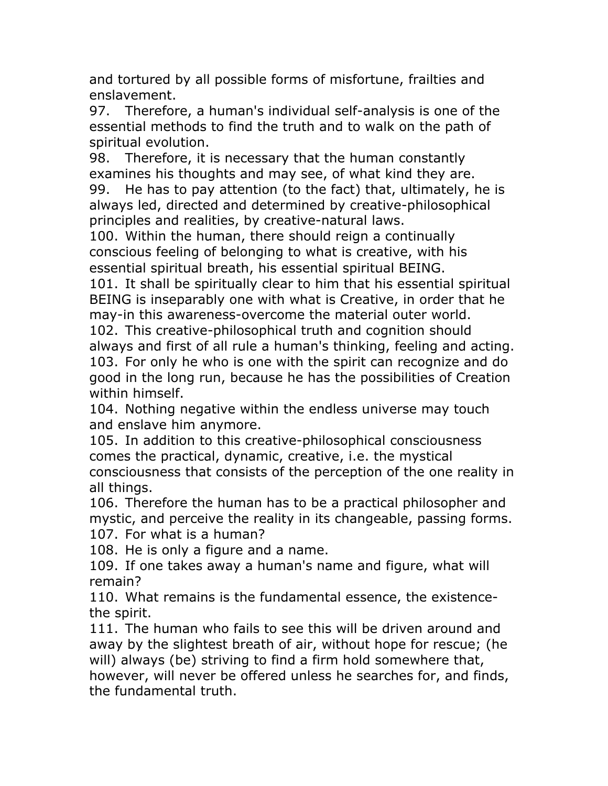and tortured by all possible forms of misfortune, frailties and enslavement.

97. Therefore, a human's individual self-analysis is one of the essential methods to find the truth and to walk on the path of spiritual evolution.

98. Therefore, it is necessary that the human constantly examines his thoughts and may see, of what kind they are.

99. He has to pay attention (to the fact) that, ultimately, he is always led, directed and determined by creative-philosophical principles and realities, by creative-natural laws.

100. Within the human, there should reign a continually conscious feeling of belonging to what is creative, with his essential spiritual breath, his essential spiritual BEING.

101. It shall be spiritually clear to him that his essential spiritual BEING is inseparably one with what is Creative, in order that he may-in this awareness-overcome the material outer world.

102. This creative-philosophical truth and cognition should always and first of all rule a human's thinking, feeling and acting. 103. For only he who is one with the spirit can recognize and do good in the long run, because he has the possibilities of Creation within himself.

104. Nothing negative within the endless universe may touch and enslave him anymore.

105. In addition to this creative-philosophical consciousness comes the practical, dynamic, creative, i.e. the mystical consciousness that consists of the perception of the one reality in all things.

106. Therefore the human has to be a practical philosopher and mystic, and perceive the reality in its changeable, passing forms.

107. For what is a human?

108. He is only a figure and a name.

109. If one takes away a human's name and figure, what will remain?

110. What remains is the fundamental essence, the existencethe spirit.

111. The human who fails to see this will be driven around and away by the slightest breath of air, without hope for rescue; (he will) always (be) striving to find a firm hold somewhere that, however, will never be offered unless he searches for, and finds, the fundamental truth.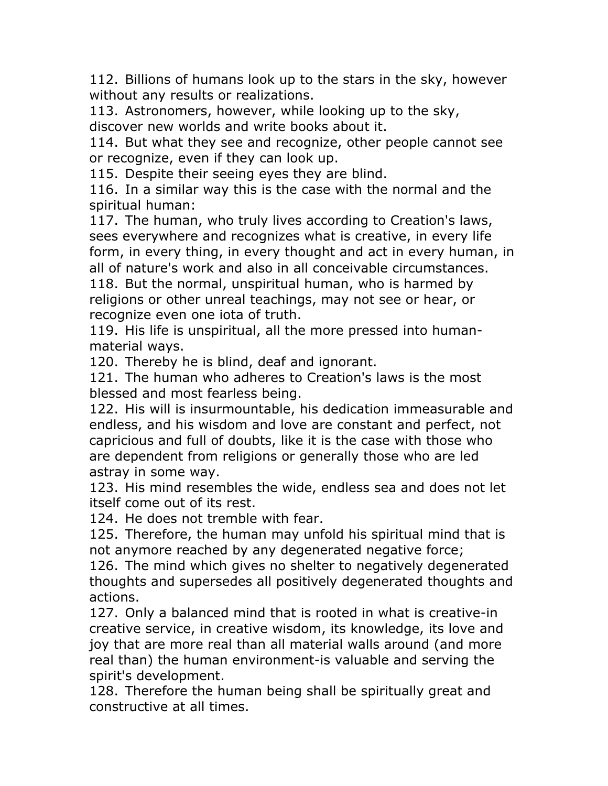112. Billions of humans look up to the stars in the sky, however without any results or realizations.

113. Astronomers, however, while looking up to the sky, discover new worlds and write books about it.

114. But what they see and recognize, other people cannot see or recognize, even if they can look up.

115. Despite their seeing eyes they are blind.

116. In a similar way this is the case with the normal and the spiritual human:

117. The human, who truly lives according to Creation's laws, sees everywhere and recognizes what is creative, in every life form, in every thing, in every thought and act in every human, in all of nature's work and also in all conceivable circumstances. 118. But the normal, unspiritual human, who is harmed by

religions or other unreal teachings, may not see or hear, or recognize even one iota of truth.

119. His life is unspiritual, all the more pressed into humanmaterial ways.

120. Thereby he is blind, deaf and ignorant.

121. The human who adheres to Creation's laws is the most blessed and most fearless being.

122. His will is insurmountable, his dedication immeasurable and endless, and his wisdom and love are constant and perfect, not capricious and full of doubts, like it is the case with those who are dependent from religions or generally those who are led astray in some way.

123. His mind resembles the wide, endless sea and does not let itself come out of its rest.

124. He does not tremble with fear.

125. Therefore, the human may unfold his spiritual mind that is not anymore reached by any degenerated negative force;

126. The mind which gives no shelter to negatively degenerated thoughts and supersedes all positively degenerated thoughts and actions.

127. Only a balanced mind that is rooted in what is creative-in creative service, in creative wisdom, its knowledge, its love and joy that are more real than all material walls around (and more real than) the human environment-is valuable and serving the spirit's development.

128. Therefore the human being shall be spiritually great and constructive at all times.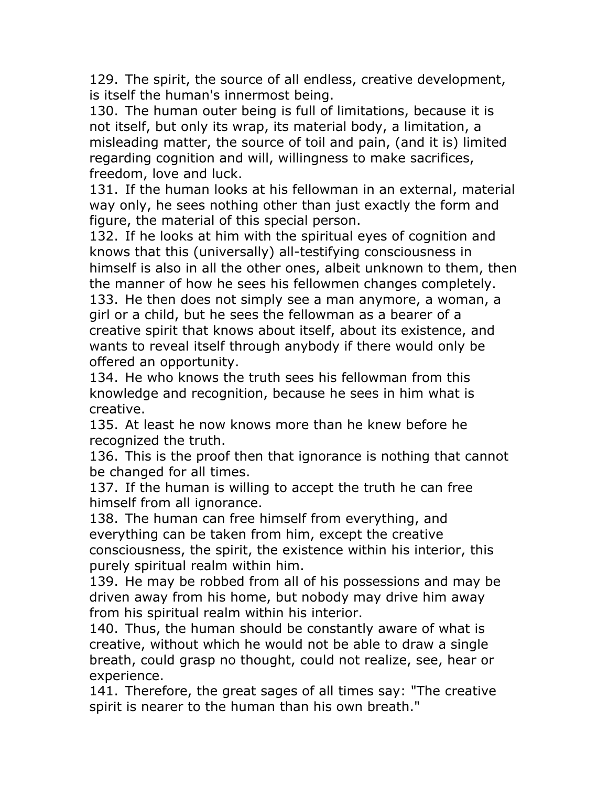129. The spirit, the source of all endless, creative development, is itself the human's innermost being.

130. The human outer being is full of limitations, because it is not itself, but only its wrap, its material body, a limitation, a misleading matter, the source of toil and pain, (and it is) limited regarding cognition and will, willingness to make sacrifices, freedom, love and luck.

131. If the human looks at his fellowman in an external, material way only, he sees nothing other than just exactly the form and figure, the material of this special person.

132. If he looks at him with the spiritual eyes of cognition and knows that this (universally) all-testifying consciousness in himself is also in all the other ones, albeit unknown to them, then the manner of how he sees his fellowmen changes completely. 133. He then does not simply see a man anymore, a woman, a girl or a child, but he sees the fellowman as a bearer of a creative spirit that knows about itself, about its existence, and wants to reveal itself through anybody if there would only be offered an opportunity.

134. He who knows the truth sees his fellowman from this knowledge and recognition, because he sees in him what is creative.

135. At least he now knows more than he knew before he recognized the truth.

136. This is the proof then that ignorance is nothing that cannot be changed for all times.

137. If the human is willing to accept the truth he can free himself from all ignorance.

138. The human can free himself from everything, and everything can be taken from him, except the creative consciousness, the spirit, the existence within his interior, this purely spiritual realm within him.

139. He may be robbed from all of his possessions and may be driven away from his home, but nobody may drive him away from his spiritual realm within his interior.

140. Thus, the human should be constantly aware of what is creative, without which he would not be able to draw a single breath, could grasp no thought, could not realize, see, hear or experience.

141. Therefore, the great sages of all times say: "The creative spirit is nearer to the human than his own breath."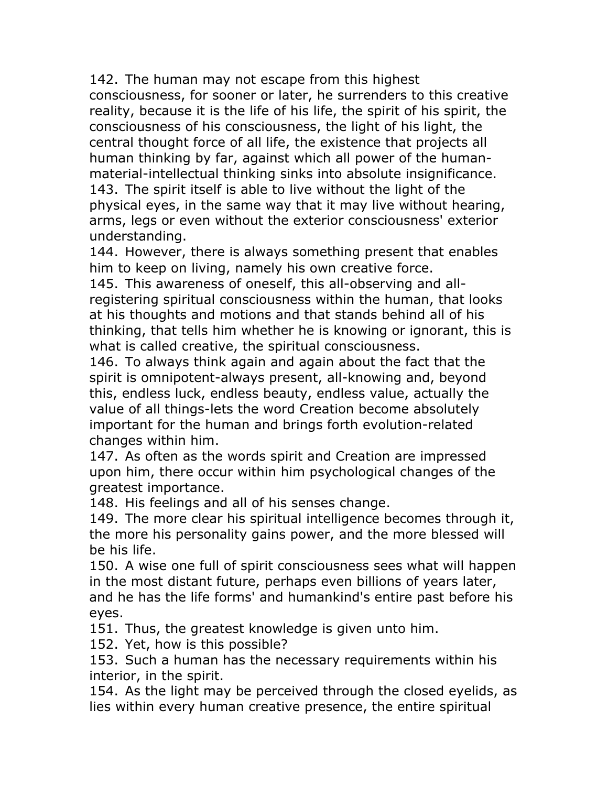142. The human may not escape from this highest consciousness, for sooner or later, he surrenders to this creative reality, because it is the life of his life, the spirit of his spirit, the consciousness of his consciousness, the light of his light, the central thought force of all life, the existence that projects all human thinking by far, against which all power of the humanmaterial-intellectual thinking sinks into absolute insignificance. 143. The spirit itself is able to live without the light of the physical eyes, in the same way that it may live without hearing, arms, legs or even without the exterior consciousness' exterior understanding.

144. However, there is always something present that enables him to keep on living, namely his own creative force.

145. This awareness of oneself, this all-observing and allregistering spiritual consciousness within the human, that looks at his thoughts and motions and that stands behind all of his thinking, that tells him whether he is knowing or ignorant, this is what is called creative, the spiritual consciousness.

146. To always think again and again about the fact that the spirit is omnipotent-always present, all-knowing and, beyond this, endless luck, endless beauty, endless value, actually the value of all things-lets the word Creation become absolutely important for the human and brings forth evolution-related changes within him.

147. As often as the words spirit and Creation are impressed upon him, there occur within him psychological changes of the greatest importance.

148. His feelings and all of his senses change.

149. The more clear his spiritual intelligence becomes through it, the more his personality gains power, and the more blessed will be his life.

150. A wise one full of spirit consciousness sees what will happen in the most distant future, perhaps even billions of years later, and he has the life forms' and humankind's entire past before his eyes.

151. Thus, the greatest knowledge is given unto him.

152. Yet, how is this possible?

153. Such a human has the necessary requirements within his interior, in the spirit.

154. As the light may be perceived through the closed eyelids, as lies within every human creative presence, the entire spiritual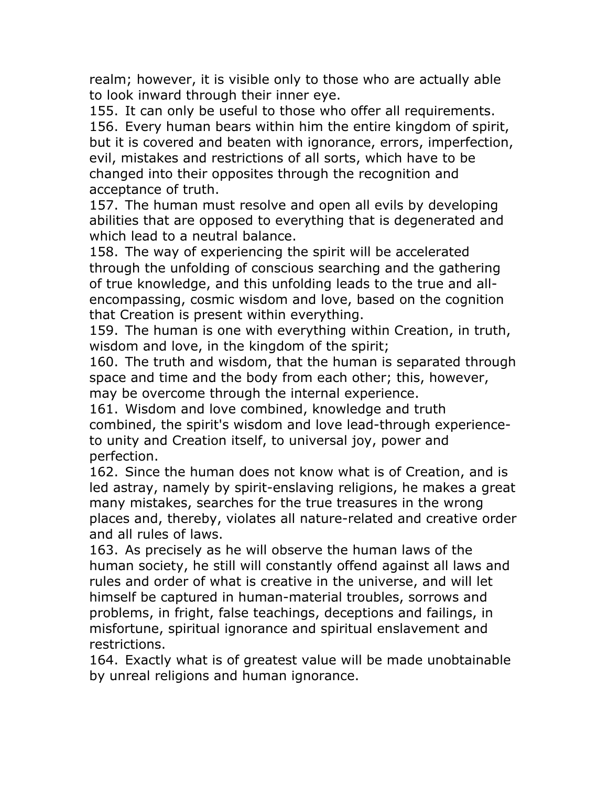realm; however, it is visible only to those who are actually able to look inward through their inner eye.

155. It can only be useful to those who offer all requirements. 156. Every human bears within him the entire kingdom of spirit, but it is covered and beaten with ignorance, errors, imperfection, evil, mistakes and restrictions of all sorts, which have to be changed into their opposites through the recognition and acceptance of truth.

157. The human must resolve and open all evils by developing abilities that are opposed to everything that is degenerated and which lead to a neutral balance.

158. The way of experiencing the spirit will be accelerated through the unfolding of conscious searching and the gathering of true knowledge, and this unfolding leads to the true and allencompassing, cosmic wisdom and love, based on the cognition that Creation is present within everything.

159. The human is one with everything within Creation, in truth, wisdom and love, in the kingdom of the spirit;

160. The truth and wisdom, that the human is separated through space and time and the body from each other; this, however, may be overcome through the internal experience.

161. Wisdom and love combined, knowledge and truth combined, the spirit's wisdom and love lead-through experienceto unity and Creation itself, to universal joy, power and perfection.

162. Since the human does not know what is of Creation, and is led astray, namely by spirit-enslaving religions, he makes a great many mistakes, searches for the true treasures in the wrong places and, thereby, violates all nature-related and creative order and all rules of laws.

163. As precisely as he will observe the human laws of the human society, he still will constantly offend against all laws and rules and order of what is creative in the universe, and will let himself be captured in human-material troubles, sorrows and problems, in fright, false teachings, deceptions and failings, in misfortune, spiritual ignorance and spiritual enslavement and restrictions.

164. Exactly what is of greatest value will be made unobtainable by unreal religions and human ignorance.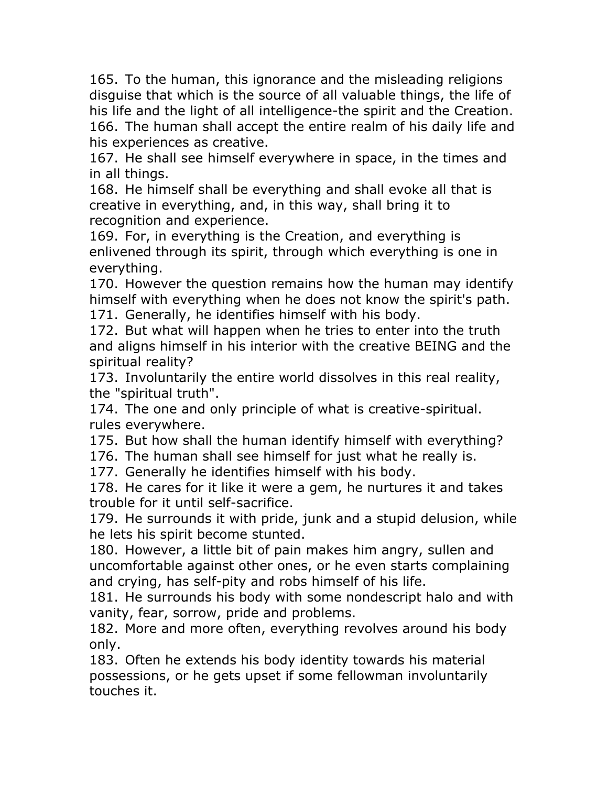165. To the human, this ignorance and the misleading religions disguise that which is the source of all valuable things, the life of his life and the light of all intelligence-the spirit and the Creation. 166. The human shall accept the entire realm of his daily life and his experiences as creative.

167. He shall see himself everywhere in space, in the times and in all things.

168. He himself shall be everything and shall evoke all that is creative in everything, and, in this way, shall bring it to recognition and experience.

169. For, in everything is the Creation, and everything is enlivened through its spirit, through which everything is one in everything.

170. However the question remains how the human may identify himself with everything when he does not know the spirit's path. 171. Generally, he identifies himself with his body.

172. But what will happen when he tries to enter into the truth and aligns himself in his interior with the creative BEING and the spiritual reality?

173. Involuntarily the entire world dissolves in this real reality, the "spiritual truth".

174. The one and only principle of what is creative-spiritual. rules everywhere.

175. But how shall the human identify himself with everything?

176. The human shall see himself for just what he really is.

177. Generally he identifies himself with his body.

178. He cares for it like it were a gem, he nurtures it and takes trouble for it until self-sacrifice.

179. He surrounds it with pride, junk and a stupid delusion, while he lets his spirit become stunted.

180. However, a little bit of pain makes him angry, sullen and uncomfortable against other ones, or he even starts complaining and crying, has self-pity and robs himself of his life.

181. He surrounds his body with some nondescript halo and with vanity, fear, sorrow, pride and problems.

182. More and more often, everything revolves around his body only.

183. Often he extends his body identity towards his material possessions, or he gets upset if some fellowman involuntarily touches it.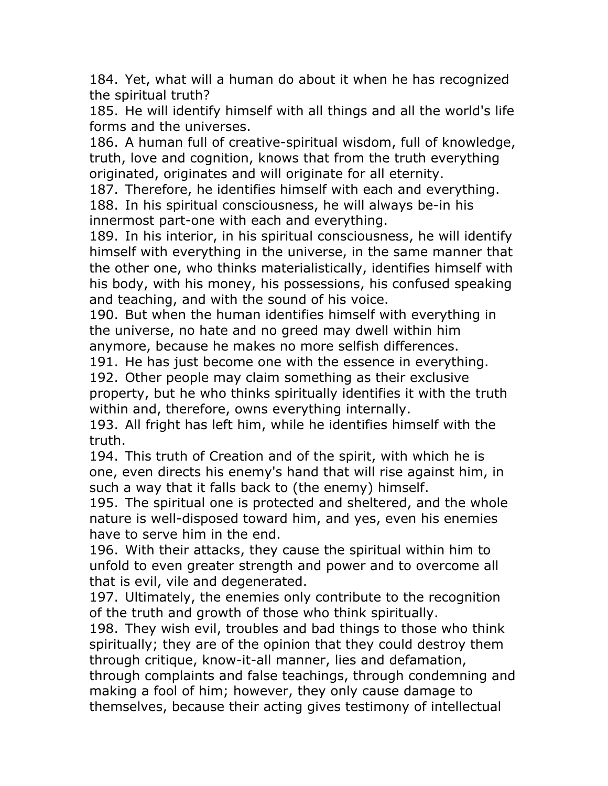184. Yet, what will a human do about it when he has recognized the spiritual truth?

185. He will identify himself with all things and all the world's life forms and the universes.

186. A human full of creative-spiritual wisdom, full of knowledge, truth, love and cognition, knows that from the truth everything originated, originates and will originate for all eternity.

187. Therefore, he identifies himself with each and everything. 188. In his spiritual consciousness, he will always be-in his innermost part-one with each and everything.

189. In his interior, in his spiritual consciousness, he will identify himself with everything in the universe, in the same manner that the other one, who thinks materialistically, identifies himself with his body, with his money, his possessions, his confused speaking and teaching, and with the sound of his voice.

190. But when the human identifies himself with everything in the universe, no hate and no greed may dwell within him anymore, because he makes no more selfish differences.

191. He has just become one with the essence in everything.

192. Other people may claim something as their exclusive property, but he who thinks spiritually identifies it with the truth within and, therefore, owns everything internally.

193. All fright has left him, while he identifies himself with the truth.

194. This truth of Creation and of the spirit, with which he is one, even directs his enemy's hand that will rise against him, in such a way that it falls back to (the enemy) himself.

195. The spiritual one is protected and sheltered, and the whole nature is well-disposed toward him, and yes, even his enemies have to serve him in the end.

196. With their attacks, they cause the spiritual within him to unfold to even greater strength and power and to overcome all that is evil, vile and degenerated.

197. Ultimately, the enemies only contribute to the recognition of the truth and growth of those who think spiritually.

198. They wish evil, troubles and bad things to those who think spiritually; they are of the opinion that they could destroy them through critique, know-it-all manner, lies and defamation, through complaints and false teachings, through condemning and making a fool of him; however, they only cause damage to themselves, because their acting gives testimony of intellectual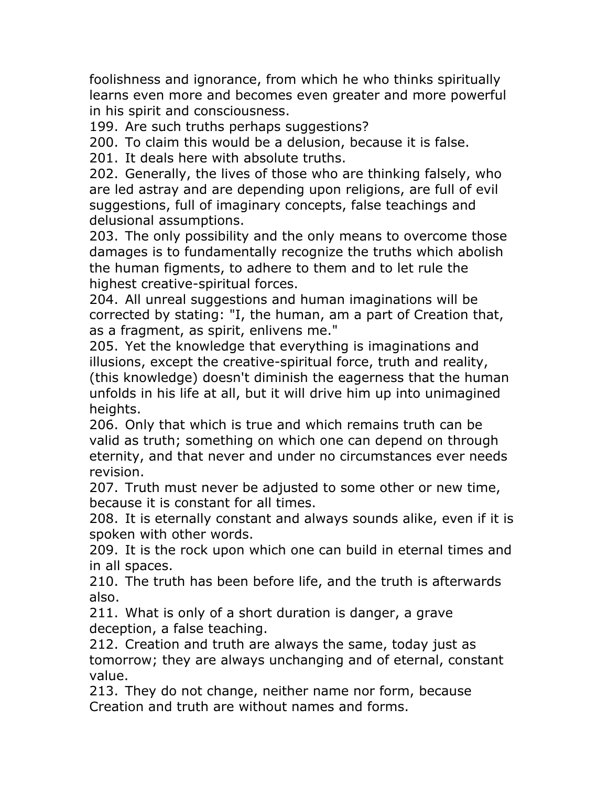foolishness and ignorance, from which he who thinks spiritually learns even more and becomes even greater and more powerful in his spirit and consciousness.

199. Are such truths perhaps suggestions?

200. To claim this would be a delusion, because it is false.

201. It deals here with absolute truths.

202. Generally, the lives of those who are thinking falsely, who are led astray and are depending upon religions, are full of evil suggestions, full of imaginary concepts, false teachings and delusional assumptions.

203. The only possibility and the only means to overcome those damages is to fundamentally recognize the truths which abolish the human figments, to adhere to them and to let rule the highest creative-spiritual forces.

204. All unreal suggestions and human imaginations will be corrected by stating: "I, the human, am a part of Creation that, as a fragment, as spirit, enlivens me."

205. Yet the knowledge that everything is imaginations and illusions, except the creative-spiritual force, truth and reality, (this knowledge) doesn't diminish the eagerness that the human unfolds in his life at all, but it will drive him up into unimagined heights.

206. Only that which is true and which remains truth can be valid as truth; something on which one can depend on through eternity, and that never and under no circumstances ever needs revision.

207. Truth must never be adjusted to some other or new time, because it is constant for all times.

208. It is eternally constant and always sounds alike, even if it is spoken with other words.

209. It is the rock upon which one can build in eternal times and in all spaces.

210. The truth has been before life, and the truth is afterwards also.

211. What is only of a short duration is danger, a grave deception, a false teaching.

212. Creation and truth are always the same, today just as tomorrow; they are always unchanging and of eternal, constant value.

213. They do not change, neither name nor form, because Creation and truth are without names and forms.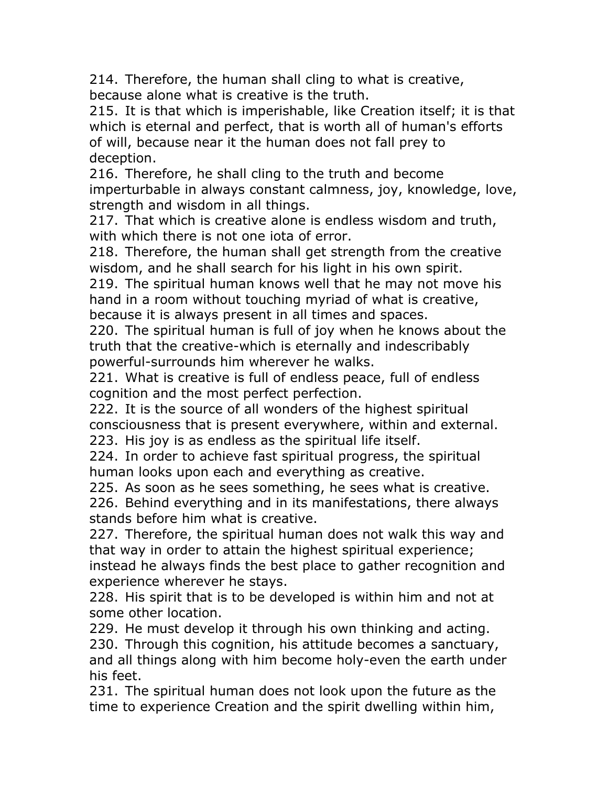214. Therefore, the human shall cling to what is creative, because alone what is creative is the truth.

215. It is that which is imperishable, like Creation itself; it is that which is eternal and perfect, that is worth all of human's efforts of will, because near it the human does not fall prey to deception.

216. Therefore, he shall cling to the truth and become imperturbable in always constant calmness, joy, knowledge, love, strength and wisdom in all things.

217. That which is creative alone is endless wisdom and truth, with which there is not one iota of error.

218. Therefore, the human shall get strength from the creative wisdom, and he shall search for his light in his own spirit.

219. The spiritual human knows well that he may not move his hand in a room without touching myriad of what is creative, because it is always present in all times and spaces.

220. The spiritual human is full of joy when he knows about the truth that the creative-which is eternally and indescribably powerful-surrounds him wherever he walks.

221. What is creative is full of endless peace, full of endless cognition and the most perfect perfection.

222. It is the source of all wonders of the highest spiritual consciousness that is present everywhere, within and external. 223. His joy is as endless as the spiritual life itself.

224. In order to achieve fast spiritual progress, the spiritual human looks upon each and everything as creative.

225. As soon as he sees something, he sees what is creative.

226. Behind everything and in its manifestations, there always stands before him what is creative.

227. Therefore, the spiritual human does not walk this way and that way in order to attain the highest spiritual experience; instead he always finds the best place to gather recognition and experience wherever he stays.

228. His spirit that is to be developed is within him and not at some other location.

229. He must develop it through his own thinking and acting. 230. Through this cognition, his attitude becomes a sanctuary, and all things along with him become holy-even the earth under his feet.

231. The spiritual human does not look upon the future as the time to experience Creation and the spirit dwelling within him,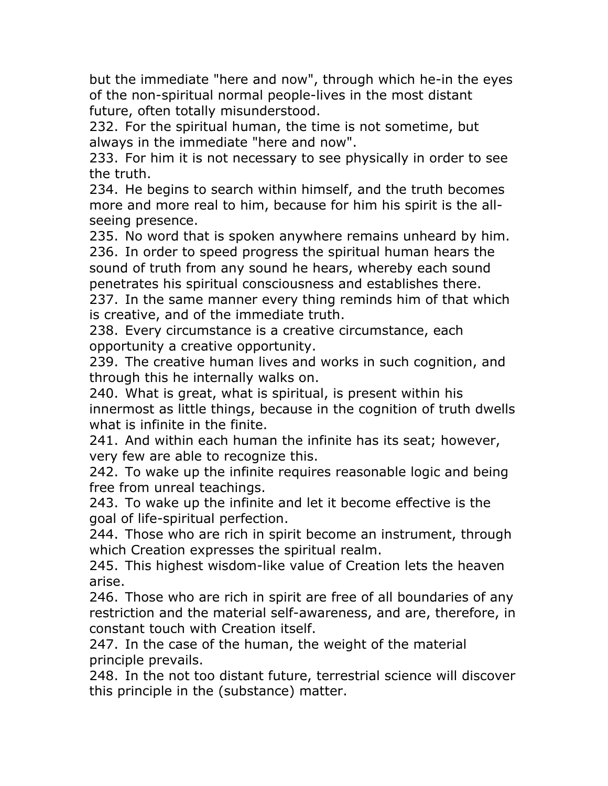but the immediate "here and now", through which he-in the eyes of the non-spiritual normal people-lives in the most distant future, often totally misunderstood.

232. For the spiritual human, the time is not sometime, but always in the immediate "here and now".

233. For him it is not necessary to see physically in order to see the truth.

234. He begins to search within himself, and the truth becomes more and more real to him, because for him his spirit is the allseeing presence.

235. No word that is spoken anywhere remains unheard by him. 236. In order to speed progress the spiritual human hears the sound of truth from any sound he hears, whereby each sound penetrates his spiritual consciousness and establishes there.

237. In the same manner every thing reminds him of that which is creative, and of the immediate truth.

238. Every circumstance is a creative circumstance, each opportunity a creative opportunity.

239. The creative human lives and works in such cognition, and through this he internally walks on.

240. What is great, what is spiritual, is present within his innermost as little things, because in the cognition of truth dwells what is infinite in the finite.

241. And within each human the infinite has its seat; however, very few are able to recognize this.

242. To wake up the infinite requires reasonable logic and being free from unreal teachings.

243. To wake up the infinite and let it become effective is the goal of life-spiritual perfection.

244. Those who are rich in spirit become an instrument, through which Creation expresses the spiritual realm.

245. This highest wisdom-like value of Creation lets the heaven arise.

246. Those who are rich in spirit are free of all boundaries of any restriction and the material self-awareness, and are, therefore, in constant touch with Creation itself.

247. In the case of the human, the weight of the material principle prevails.

248. In the not too distant future, terrestrial science will discover this principle in the (substance) matter.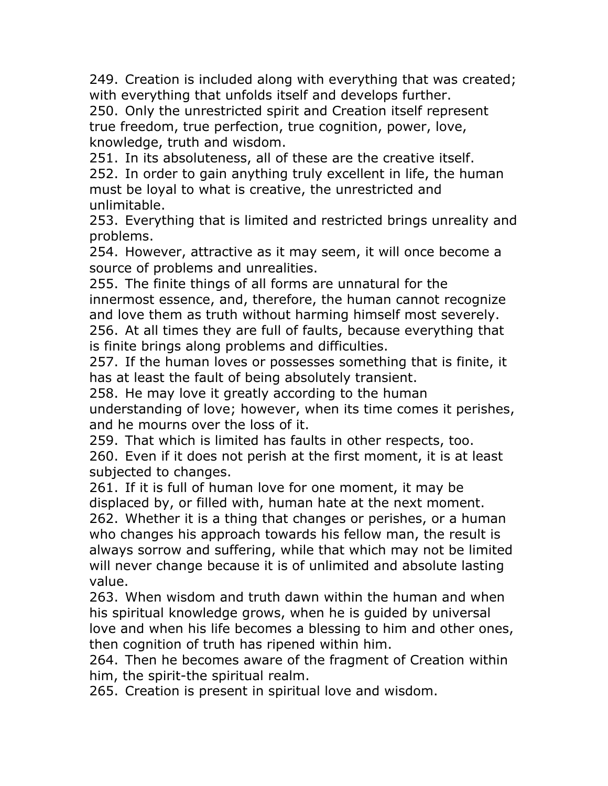249. Creation is included along with everything that was created; with everything that unfolds itself and develops further.

250. Only the unrestricted spirit and Creation itself represent true freedom, true perfection, true cognition, power, love, knowledge, truth and wisdom.

251. In its absoluteness, all of these are the creative itself.

252. In order to gain anything truly excellent in life, the human must be loyal to what is creative, the unrestricted and unlimitable.

253. Everything that is limited and restricted brings unreality and problems.

254. However, attractive as it may seem, it will once become a source of problems and unrealities.

255. The finite things of all forms are unnatural for the innermost essence, and, therefore, the human cannot recognize and love them as truth without harming himself most severely. 256. At all times they are full of faults, because everything that is finite brings along problems and difficulties.

257. If the human loves or possesses something that is finite, it has at least the fault of being absolutely transient.

258. He may love it greatly according to the human understanding of love; however, when its time comes it perishes, and he mourns over the loss of it.

259. That which is limited has faults in other respects, too.

260. Even if it does not perish at the first moment, it is at least subjected to changes.

261. If it is full of human love for one moment, it may be displaced by, or filled with, human hate at the next moment.

262. Whether it is a thing that changes or perishes, or a human who changes his approach towards his fellow man, the result is always sorrow and suffering, while that which may not be limited will never change because it is of unlimited and absolute lasting value.

263. When wisdom and truth dawn within the human and when his spiritual knowledge grows, when he is guided by universal love and when his life becomes a blessing to him and other ones, then cognition of truth has ripened within him.

264. Then he becomes aware of the fragment of Creation within him, the spirit-the spiritual realm.

265. Creation is present in spiritual love and wisdom.